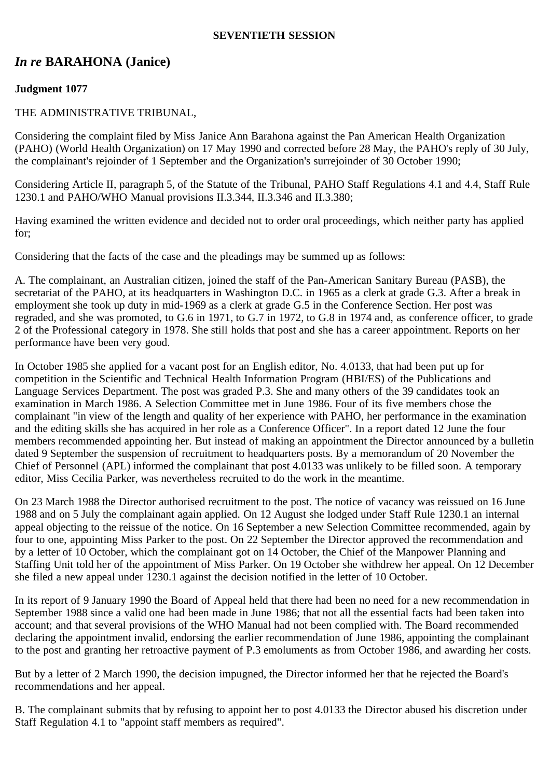#### **SEVENTIETH SESSION**

# *In re* **BARAHONA (Janice)**

# **Judgment 1077**

### THE ADMINISTRATIVE TRIBUNAL,

Considering the complaint filed by Miss Janice Ann Barahona against the Pan American Health Organization (PAHO) (World Health Organization) on 17 May 1990 and corrected before 28 May, the PAHO's reply of 30 July, the complainant's rejoinder of 1 September and the Organization's surrejoinder of 30 October 1990;

Considering Article II, paragraph 5, of the Statute of the Tribunal, PAHO Staff Regulations 4.1 and 4.4, Staff Rule 1230.1 and PAHO/WHO Manual provisions II.3.344, II.3.346 and II.3.380;

Having examined the written evidence and decided not to order oral proceedings, which neither party has applied for;

Considering that the facts of the case and the pleadings may be summed up as follows:

A. The complainant, an Australian citizen, joined the staff of the Pan-American Sanitary Bureau (PASB), the secretariat of the PAHO, at its headquarters in Washington D.C. in 1965 as a clerk at grade G.3. After a break in employment she took up duty in mid-1969 as a clerk at grade G.5 in the Conference Section. Her post was regraded, and she was promoted, to G.6 in 1971, to G.7 in 1972, to G.8 in 1974 and, as conference officer, to grade 2 of the Professional category in 1978. She still holds that post and she has a career appointment. Reports on her performance have been very good.

In October 1985 she applied for a vacant post for an English editor, No. 4.0133, that had been put up for competition in the Scientific and Technical Health Information Program (HBI/ES) of the Publications and Language Services Department. The post was graded P.3. She and many others of the 39 candidates took an examination in March 1986. A Selection Committee met in June 1986. Four of its five members chose the complainant "in view of the length and quality of her experience with PAHO, her performance in the examination and the editing skills she has acquired in her role as a Conference Officer". In a report dated 12 June the four members recommended appointing her. But instead of making an appointment the Director announced by a bulletin dated 9 September the suspension of recruitment to headquarters posts. By a memorandum of 20 November the Chief of Personnel (APL) informed the complainant that post 4.0133 was unlikely to be filled soon. A temporary editor, Miss Cecilia Parker, was nevertheless recruited to do the work in the meantime.

On 23 March 1988 the Director authorised recruitment to the post. The notice of vacancy was reissued on 16 June 1988 and on 5 July the complainant again applied. On 12 August she lodged under Staff Rule 1230.1 an internal appeal objecting to the reissue of the notice. On 16 September a new Selection Committee recommended, again by four to one, appointing Miss Parker to the post. On 22 September the Director approved the recommendation and by a letter of 10 October, which the complainant got on 14 October, the Chief of the Manpower Planning and Staffing Unit told her of the appointment of Miss Parker. On 19 October she withdrew her appeal. On 12 December she filed a new appeal under 1230.1 against the decision notified in the letter of 10 October.

In its report of 9 January 1990 the Board of Appeal held that there had been no need for a new recommendation in September 1988 since a valid one had been made in June 1986; that not all the essential facts had been taken into account; and that several provisions of the WHO Manual had not been complied with. The Board recommended declaring the appointment invalid, endorsing the earlier recommendation of June 1986, appointing the complainant to the post and granting her retroactive payment of P.3 emoluments as from October 1986, and awarding her costs.

But by a letter of 2 March 1990, the decision impugned, the Director informed her that he rejected the Board's recommendations and her appeal.

B. The complainant submits that by refusing to appoint her to post 4.0133 the Director abused his discretion under Staff Regulation 4.1 to "appoint staff members as required".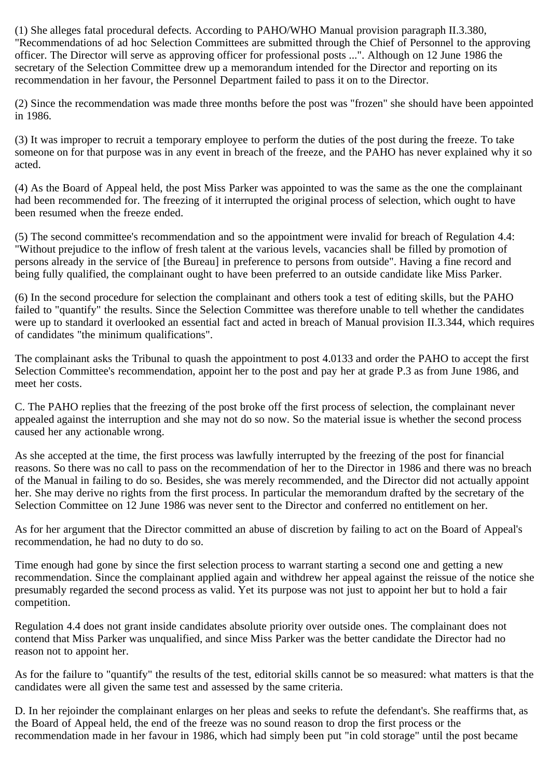(1) She alleges fatal procedural defects. According to PAHO/WHO Manual provision paragraph II.3.380, "Recommendations of ad hoc Selection Committees are submitted through the Chief of Personnel to the approving officer. The Director will serve as approving officer for professional posts ...". Although on 12 June 1986 the secretary of the Selection Committee drew up a memorandum intended for the Director and reporting on its recommendation in her favour, the Personnel Department failed to pass it on to the Director.

(2) Since the recommendation was made three months before the post was "frozen" she should have been appointed in 1986.

(3) It was improper to recruit a temporary employee to perform the duties of the post during the freeze. To take someone on for that purpose was in any event in breach of the freeze, and the PAHO has never explained why it so acted.

(4) As the Board of Appeal held, the post Miss Parker was appointed to was the same as the one the complainant had been recommended for. The freezing of it interrupted the original process of selection, which ought to have been resumed when the freeze ended.

(5) The second committee's recommendation and so the appointment were invalid for breach of Regulation 4.4: "Without prejudice to the inflow of fresh talent at the various levels, vacancies shall be filled by promotion of persons already in the service of [the Bureau] in preference to persons from outside". Having a fine record and being fully qualified, the complainant ought to have been preferred to an outside candidate like Miss Parker.

(6) In the second procedure for selection the complainant and others took a test of editing skills, but the PAHO failed to "quantify" the results. Since the Selection Committee was therefore unable to tell whether the candidates were up to standard it overlooked an essential fact and acted in breach of Manual provision II.3.344, which requires of candidates "the minimum qualifications".

The complainant asks the Tribunal to quash the appointment to post 4.0133 and order the PAHO to accept the first Selection Committee's recommendation, appoint her to the post and pay her at grade P.3 as from June 1986, and meet her costs.

C. The PAHO replies that the freezing of the post broke off the first process of selection, the complainant never appealed against the interruption and she may not do so now. So the material issue is whether the second process caused her any actionable wrong.

As she accepted at the time, the first process was lawfully interrupted by the freezing of the post for financial reasons. So there was no call to pass on the recommendation of her to the Director in 1986 and there was no breach of the Manual in failing to do so. Besides, she was merely recommended, and the Director did not actually appoint her. She may derive no rights from the first process. In particular the memorandum drafted by the secretary of the Selection Committee on 12 June 1986 was never sent to the Director and conferred no entitlement on her.

As for her argument that the Director committed an abuse of discretion by failing to act on the Board of Appeal's recommendation, he had no duty to do so.

Time enough had gone by since the first selection process to warrant starting a second one and getting a new recommendation. Since the complainant applied again and withdrew her appeal against the reissue of the notice she presumably regarded the second process as valid. Yet its purpose was not just to appoint her but to hold a fair competition.

Regulation 4.4 does not grant inside candidates absolute priority over outside ones. The complainant does not contend that Miss Parker was unqualified, and since Miss Parker was the better candidate the Director had no reason not to appoint her.

As for the failure to "quantify" the results of the test, editorial skills cannot be so measured: what matters is that the candidates were all given the same test and assessed by the same criteria.

D. In her rejoinder the complainant enlarges on her pleas and seeks to refute the defendant's. She reaffirms that, as the Board of Appeal held, the end of the freeze was no sound reason to drop the first process or the recommendation made in her favour in 1986, which had simply been put "in cold storage" until the post became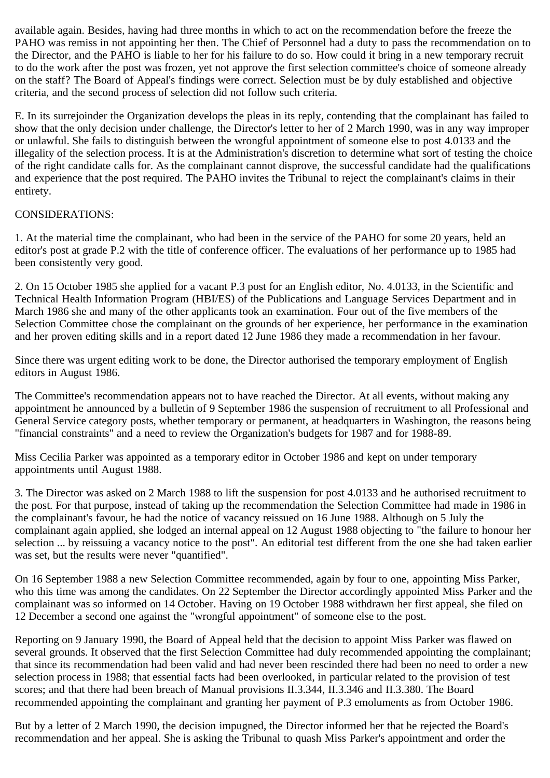available again. Besides, having had three months in which to act on the recommendation before the freeze the PAHO was remiss in not appointing her then. The Chief of Personnel had a duty to pass the recommendation on to the Director, and the PAHO is liable to her for his failure to do so. How could it bring in a new temporary recruit to do the work after the post was frozen, yet not approve the first selection committee's choice of someone already on the staff? The Board of Appeal's findings were correct. Selection must be by duly established and objective criteria, and the second process of selection did not follow such criteria.

E. In its surrejoinder the Organization develops the pleas in its reply, contending that the complainant has failed to show that the only decision under challenge, the Director's letter to her of 2 March 1990, was in any way improper or unlawful. She fails to distinguish between the wrongful appointment of someone else to post 4.0133 and the illegality of the selection process. It is at the Administration's discretion to determine what sort of testing the choice of the right candidate calls for. As the complainant cannot disprove, the successful candidate had the qualifications and experience that the post required. The PAHO invites the Tribunal to reject the complainant's claims in their entirety.

#### CONSIDERATIONS:

1. At the material time the complainant, who had been in the service of the PAHO for some 20 years, held an editor's post at grade P.2 with the title of conference officer. The evaluations of her performance up to 1985 had been consistently very good.

2. On 15 October 1985 she applied for a vacant P.3 post for an English editor, No. 4.0133, in the Scientific and Technical Health Information Program (HBI/ES) of the Publications and Language Services Department and in March 1986 she and many of the other applicants took an examination. Four out of the five members of the Selection Committee chose the complainant on the grounds of her experience, her performance in the examination and her proven editing skills and in a report dated 12 June 1986 they made a recommendation in her favour.

Since there was urgent editing work to be done, the Director authorised the temporary employment of English editors in August 1986.

The Committee's recommendation appears not to have reached the Director. At all events, without making any appointment he announced by a bulletin of 9 September 1986 the suspension of recruitment to all Professional and General Service category posts, whether temporary or permanent, at headquarters in Washington, the reasons being "financial constraints" and a need to review the Organization's budgets for 1987 and for 1988-89.

Miss Cecilia Parker was appointed as a temporary editor in October 1986 and kept on under temporary appointments until August 1988.

3. The Director was asked on 2 March 1988 to lift the suspension for post 4.0133 and he authorised recruitment to the post. For that purpose, instead of taking up the recommendation the Selection Committee had made in 1986 in the complainant's favour, he had the notice of vacancy reissued on 16 June 1988. Although on 5 July the complainant again applied, she lodged an internal appeal on 12 August 1988 objecting to "the failure to honour her selection ... by reissuing a vacancy notice to the post". An editorial test different from the one she had taken earlier was set, but the results were never "quantified".

On 16 September 1988 a new Selection Committee recommended, again by four to one, appointing Miss Parker, who this time was among the candidates. On 22 September the Director accordingly appointed Miss Parker and the complainant was so informed on 14 October. Having on 19 October 1988 withdrawn her first appeal, she filed on 12 December a second one against the "wrongful appointment" of someone else to the post.

Reporting on 9 January 1990, the Board of Appeal held that the decision to appoint Miss Parker was flawed on several grounds. It observed that the first Selection Committee had duly recommended appointing the complainant; that since its recommendation had been valid and had never been rescinded there had been no need to order a new selection process in 1988; that essential facts had been overlooked, in particular related to the provision of test scores; and that there had been breach of Manual provisions II.3.344, II.3.346 and II.3.380. The Board recommended appointing the complainant and granting her payment of P.3 emoluments as from October 1986.

But by a letter of 2 March 1990, the decision impugned, the Director informed her that he rejected the Board's recommendation and her appeal. She is asking the Tribunal to quash Miss Parker's appointment and order the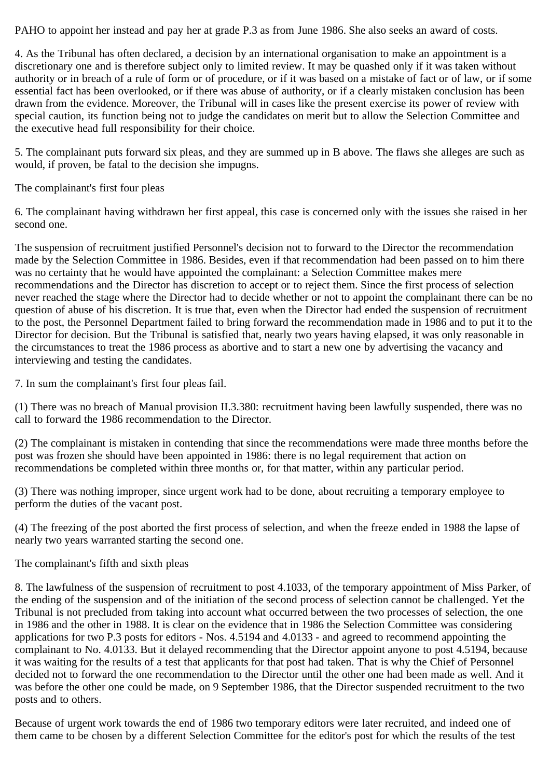PAHO to appoint her instead and pay her at grade P.3 as from June 1986. She also seeks an award of costs.

4. As the Tribunal has often declared, a decision by an international organisation to make an appointment is a discretionary one and is therefore subject only to limited review. It may be quashed only if it was taken without authority or in breach of a rule of form or of procedure, or if it was based on a mistake of fact or of law, or if some essential fact has been overlooked, or if there was abuse of authority, or if a clearly mistaken conclusion has been drawn from the evidence. Moreover, the Tribunal will in cases like the present exercise its power of review with special caution, its function being not to judge the candidates on merit but to allow the Selection Committee and the executive head full responsibility for their choice.

5. The complainant puts forward six pleas, and they are summed up in B above. The flaws she alleges are such as would, if proven, be fatal to the decision she impugns.

The complainant's first four pleas

6. The complainant having withdrawn her first appeal, this case is concerned only with the issues she raised in her second one.

The suspension of recruitment justified Personnel's decision not to forward to the Director the recommendation made by the Selection Committee in 1986. Besides, even if that recommendation had been passed on to him there was no certainty that he would have appointed the complainant: a Selection Committee makes mere recommendations and the Director has discretion to accept or to reject them. Since the first process of selection never reached the stage where the Director had to decide whether or not to appoint the complainant there can be no question of abuse of his discretion. It is true that, even when the Director had ended the suspension of recruitment to the post, the Personnel Department failed to bring forward the recommendation made in 1986 and to put it to the Director for decision. But the Tribunal is satisfied that, nearly two years having elapsed, it was only reasonable in the circumstances to treat the 1986 process as abortive and to start a new one by advertising the vacancy and interviewing and testing the candidates.

7. In sum the complainant's first four pleas fail.

(1) There was no breach of Manual provision II.3.380: recruitment having been lawfully suspended, there was no call to forward the 1986 recommendation to the Director.

(2) The complainant is mistaken in contending that since the recommendations were made three months before the post was frozen she should have been appointed in 1986: there is no legal requirement that action on recommendations be completed within three months or, for that matter, within any particular period.

(3) There was nothing improper, since urgent work had to be done, about recruiting a temporary employee to perform the duties of the vacant post.

(4) The freezing of the post aborted the first process of selection, and when the freeze ended in 1988 the lapse of nearly two years warranted starting the second one.

The complainant's fifth and sixth pleas

8. The lawfulness of the suspension of recruitment to post 4.1033, of the temporary appointment of Miss Parker, of the ending of the suspension and of the initiation of the second process of selection cannot be challenged. Yet the Tribunal is not precluded from taking into account what occurred between the two processes of selection, the one in 1986 and the other in 1988. It is clear on the evidence that in 1986 the Selection Committee was considering applications for two P.3 posts for editors - Nos. 4.5194 and 4.0133 - and agreed to recommend appointing the complainant to No. 4.0133. But it delayed recommending that the Director appoint anyone to post 4.5194, because it was waiting for the results of a test that applicants for that post had taken. That is why the Chief of Personnel decided not to forward the one recommendation to the Director until the other one had been made as well. And it was before the other one could be made, on 9 September 1986, that the Director suspended recruitment to the two posts and to others.

Because of urgent work towards the end of 1986 two temporary editors were later recruited, and indeed one of them came to be chosen by a different Selection Committee for the editor's post for which the results of the test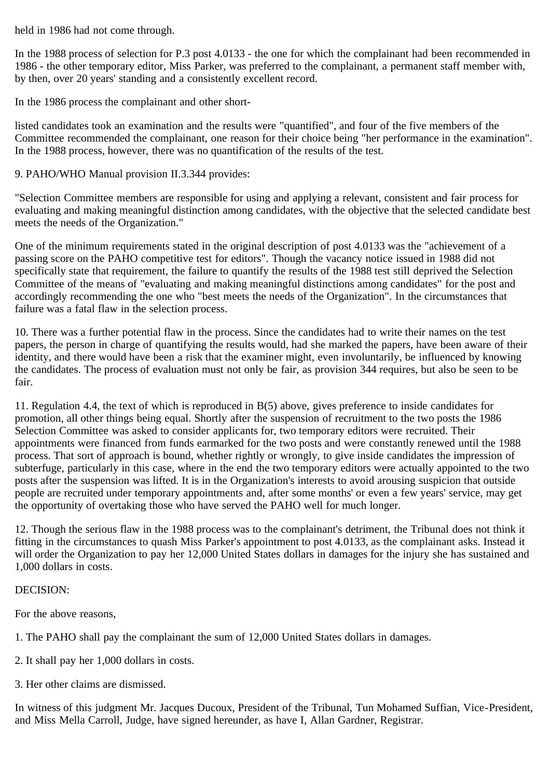held in 1986 had not come through.

In the 1988 process of selection for P.3 post 4.0133 - the one for which the complainant had been recommended in 1986 - the other temporary editor, Miss Parker, was preferred to the complainant, a permanent staff member with, by then, over 20 years' standing and a consistently excellent record.

In the 1986 process the complainant and other short-

listed candidates took an examination and the results were "quantified", and four of the five members of the Committee recommended the complainant, one reason for their choice being "her performance in the examination". In the 1988 process, however, there was no quantification of the results of the test.

## 9. PAHO/WHO Manual provision II.3.344 provides:

"Selection Committee members are responsible for using and applying a relevant, consistent and fair process for evaluating and making meaningful distinction among candidates, with the objective that the selected candidate best meets the needs of the Organization."

One of the minimum requirements stated in the original description of post 4.0133 was the "achievement of a passing score on the PAHO competitive test for editors". Though the vacancy notice issued in 1988 did not specifically state that requirement, the failure to quantify the results of the 1988 test still deprived the Selection Committee of the means of "evaluating and making meaningful distinctions among candidates" for the post and accordingly recommending the one who "best meets the needs of the Organization". In the circumstances that failure was a fatal flaw in the selection process.

10. There was a further potential flaw in the process. Since the candidates had to write their names on the test papers, the person in charge of quantifying the results would, had she marked the papers, have been aware of their identity, and there would have been a risk that the examiner might, even involuntarily, be influenced by knowing the candidates. The process of evaluation must not only be fair, as provision 344 requires, but also be seen to be fair.

11. Regulation 4.4, the text of which is reproduced in B(5) above, gives preference to inside candidates for promotion, all other things being equal. Shortly after the suspension of recruitment to the two posts the 1986 Selection Committee was asked to consider applicants for, two temporary editors were recruited. Their appointments were financed from funds earmarked for the two posts and were constantly renewed until the 1988 process. That sort of approach is bound, whether rightly or wrongly, to give inside candidates the impression of subterfuge, particularly in this case, where in the end the two temporary editors were actually appointed to the two posts after the suspension was lifted. It is in the Organization's interests to avoid arousing suspicion that outside people are recruited under temporary appointments and, after some months' or even a few years' service, may get the opportunity of overtaking those who have served the PAHO well for much longer.

12. Though the serious flaw in the 1988 process was to the complainant's detriment, the Tribunal does not think it fitting in the circumstances to quash Miss Parker's appointment to post 4.0133, as the complainant asks. Instead it will order the Organization to pay her 12,000 United States dollars in damages for the injury she has sustained and 1,000 dollars in costs.

### DECISION:

For the above reasons,

- 1. The PAHO shall pay the complainant the sum of 12,000 United States dollars in damages.
- 2. It shall pay her 1,000 dollars in costs.
- 3. Her other claims are dismissed.

In witness of this judgment Mr. Jacques Ducoux, President of the Tribunal, Tun Mohamed Suffian, Vice-President, and Miss Mella Carroll, Judge, have signed hereunder, as have I, Allan Gardner, Registrar.